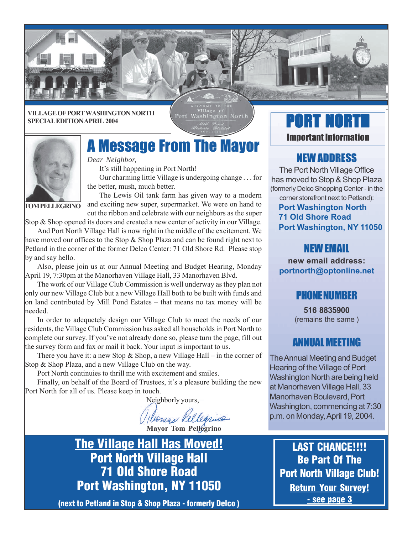

**VILLAGE OF PORT WASHINGTON NORTH SPECIAL EDITION APRIL 2004**

Port Washington North



# A Message From The Mayor

*Dear Neighbor,*

It's still happening in Port North!

Our charming little Village is undergoing change . . . for the better, mush, much better.

**TOM PELLEGRINO**

The Lewis Oil tank farm has given way to a modern and exciting new super, supermarket. We were on hand to cut the ribbon and celebrate with our neighbors as the super

Stop & Shop opened its doors and created a new center of activity in our Village.

And Port North Village Hall is now right in the middle of the excitement. We have moved our offices to the Stop  $\&$  Shop Plaza and can be found right next to Petland in the corner of the former Delco Center: 71 Old Shore Rd. Please stop by and say hello.

Also, please join us at our Annual Meeting and Budget Hearing, Monday April 19, 7:30pm at the Manorhaven Village Hall, 33 Manorhaven Blvd.

The work of our Village Club Commission is well underway as they plan not only our new Village Club but a new Village Hall both to be built with funds and on land contributed by Mill Pond Estates – that means no tax money will be needed.

In order to adequetely design our Village Club to meet the needs of our residents, the Village Club Commission has asked all households in Port North to complete our survey. If you've not already done so, please turn the page, fill out the survey form and fax or mail it back. Your input is important to us.

There you have it: a new Stop  $\&$  Shop, a new Village Hall – in the corner of Stop & Shop Plaza, and a new Village Club on the way.

Port North continuies to thrill me with excitement and smiles.

Finally, on behalf of the Board of Trustees, it's a pleasure building the new Port North for all of us. Please keep in touch.

Neighborly yours,

**Mayor Tom Pellegrino**

**The Village Hall Has Moved! Port North Village Hall 71 Old Shore Road Port Washington, NY 11050**

**(next to Petland in Stop & Shop Plaza - formerly Delco )**

# RT NORT Important Information

## NEW ADDRESS

The Port North Village Office has moved to Stop & Shop Plaza (formerly Delco Shopping Center - in the

#### corner storefront next to Petland): **Port Washington North 71 Old Shore Road Port Washington, NY 11050**

## NEW EMAIL

**new email address: portnorth@optonline.net**

### PHONE NUMBER

**516 8835900** (remains the same )

### ANNUAL MEETING

The Annual Meeting and Budget Hearing of the Village of Port Washington North are being held at Manorhaven Village Hall, 33 Manorhaven Boulevard, Port Washington, commencing at 7:30 p.m. on Monday, April 19, 2004.

**LAST CHANCE!!!! Be Part Of The Port North Village Club! Return Your Survey! - see page 3**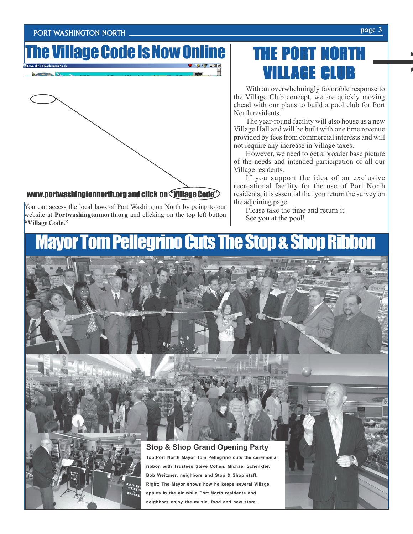#### PORT WASHINGTON NORTH **page 3**

# The Village Code Is Now Online



You can access the local laws of Port Washington North by going to our website at **Portwashingtonnorth.org** and clicking on the top left button **"Village Code."**

# THE PORT NORT VILLAGE CLUB

With an overwhelmingly favorable response to the Village Club concept, we are quickly moving ahead with our plans to build a pool club for Port North residents.

The year-round facility will also house as a new Village Hall and will be built with one time revenue provided by fees from commercial interests and will not require any increase in Village taxes.

However, we need to get a broader base picture of the needs and intended participation of all our Village residents.

If you support the idea of an exclusive recreational facility for the use of Port North residents, it is essential that you return the survey on the adjoining page.

Please take the time and return it. See you at the pool!

# layor Tom Pellegrino Cuts The Stop & Shop Ri



**>**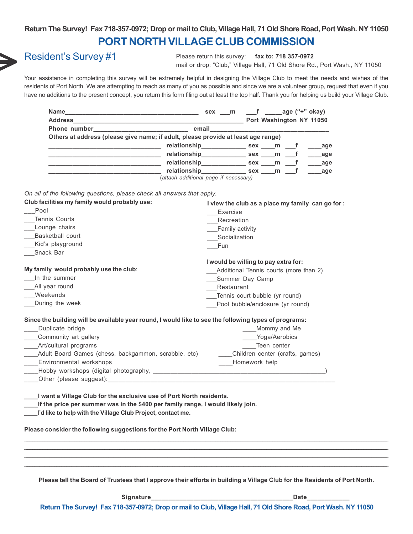#### **PORT NORTH VILLAGE CLUB COMMISSION Return The Survey! Fax 718-357-0972; Drop or mail to Club, Village Hall, 71 Old Shore Road, Port Wash. NY 11050**



### Resident's Survey #1

Please return this survey: **fax to: 718 357-0972** mail or drop: "Club," Village Hall, 71 Old Shore Rd., Port Wash., NY 11050

Your assistance in completing this survey will be extremely helpful in designing the Village Club to meet the needs and wishes of the residents of Port North. We are attempting to reach as many of you as possible and since we are a volunteer group, request that even if you have no additions to the present concept, you return this form filing out at least the top half. Thank you for helping us build your Village Club.

| Name                                                                              | sex m                     | $\sqrt{ }$ f age ("+" okay) |  |     |                          |
|-----------------------------------------------------------------------------------|---------------------------|-----------------------------|--|-----|--------------------------|
| <b>Address</b>                                                                    |                           |                             |  |     | Port Washington NY 11050 |
|                                                                                   | email                     |                             |  |     |                          |
| Others at address (please give name; if adult, please provide at least age range) |                           |                             |  |     |                          |
|                                                                                   | relationship_____________ | sex m f                     |  |     | age                      |
|                                                                                   | relationship              | sex m f                     |  |     | age                      |
|                                                                                   | relationship              | sex m                       |  | − f | age                      |
|                                                                                   | relationship              | sex m                       |  |     | age                      |
| (attach additional page if necessary)                                             |                           |                             |  |     |                          |

*On all of the following questions, please check all answers that apply.*

| Exercise<br>Recreation<br>__Family activity<br>Socialization                                                                                                                                                                          |
|---------------------------------------------------------------------------------------------------------------------------------------------------------------------------------------------------------------------------------------|
| Fun                                                                                                                                                                                                                                   |
| I would be willing to pay extra for:<br>Additional Tennis courts (more than 2)<br>Summer Day Camp<br>Restaurant                                                                                                                       |
| Tennis court bubble (yr round)                                                                                                                                                                                                        |
| Pool bubble/enclosure (yr round)                                                                                                                                                                                                      |
| Since the building will be available year round, I would like to see the following types of programs:<br>Mommy and Me<br>____Yoga/Aerobics<br>Teen center<br>Children center (crafts, games)<br>Homework help                         |
| I want a Village Club for the exclusive use of Port North residents.<br>If the price per summer was in the \$400 per family range, I would likely join.<br>Please consider the following suggestions for the Port North Village Club: |
|                                                                                                                                                                                                                                       |
|                                                                                                                                                                                                                                       |
|                                                                                                                                                                                                                                       |
|                                                                                                                                                                                                                                       |

**Please tell the Board of Trustees that I approve their efforts in building a Village Club for the Residents of Port North.**

Signature **Date** 

**Return The Survey! Fax 718-357-0972; Drop or mail to Club, Village Hall, 71 Old Shore Road, Port Wash. NY 11050**